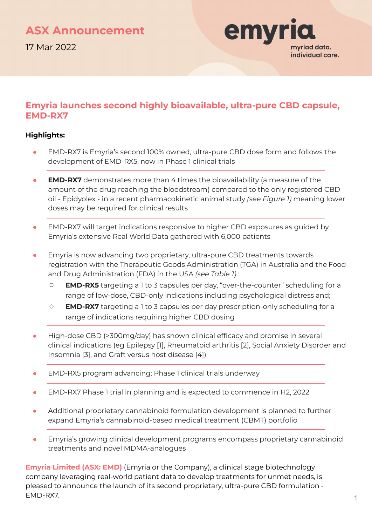### **ASX Announcement**

17 Mar 2022



#### **Emyria launches second highly bioavailable, ultra-pure CBD capsule, EMD-RX7**

#### **Highlights:**

- EMD-RX7 is Emyria's second 100% owned, ultra-pure CBD dose form and follows the development of EMD-RX5, now in Phase 1 clinical trials
- **EMD-RX7** demonstrates more than 4 times the bioavailability (a measure of the amount of the drug reaching the bloodstream) compared to the only registered CBD oil - Epidyolex - in a recent pharmacokinetic animal study *(see Figure 1)* meaning lower doses may be required for clinical results
- EMD-RX7 will target indications responsive to higher CBD exposures as quided by Emyria's extensive Real World Data gathered with 6,000 patients
- Emyria is now advancing two proprietary, ultra-pure CBD treatments towards registration with the Therapeutic Goods Administration (TGA) in Australia and the Food and Drug Administration (FDA) in the USA *(see Table 1)* :
	- **EMD-RX5** targeting a 1 to 3 capsules per day, "over-the-counter" scheduling for a range of low-dose, CBD-only indications including psychological distress and;
	- **EMD-RX7** targeting a 1 to 3 capsules per day prescription-only scheduling for a range of indications requiring higher CBD dosing
- High-dose CBD (>300mg/day) has shown clinical efficacy and promise in several clinical indications (eg Epilepsy [1], Rheumatoid arthritis [2], Social Anxiety Disorder and Insomnia [3], and Graft versus host disease [4])
- EMD-RX5 program advancing; Phase 1 clinical trials underway
- EMD-RX7 Phase 1 trial in planning and is expected to commence in H2, 2022
- Additional proprietary cannabinoid formulation development is planned to further expand Emyria's cannabinoid-based medical treatment (CBMT) portfolio
- **Emyria's growing clinical development programs encompass proprietary cannabinoid** treatments and novel MDMA-analogues

**Emyria Limited (ASX: EMD)** (Emyria or the Company), a clinical stage biotechnology company leveraging real-world patient data to develop treatments for unmet needs, is pleased to announce the launch of its second proprietary, ultra-pure CBD formulation - EMD-RX7.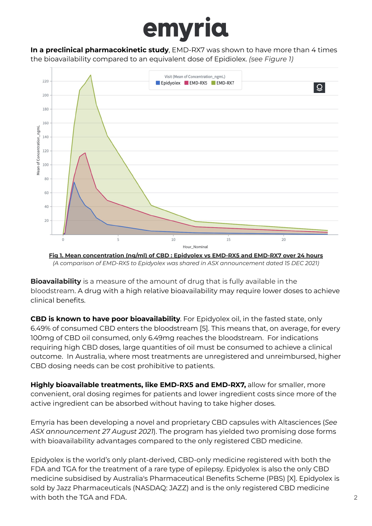**In a preclinical pharmacokinetic study**, EMD-RX7 was shown to have more than 4 times the bioavailability compared to an equivalent dose of Epidiolex. *(see Figure 1)*



**Fig 1. Mean concentration (ng/ml) of CBD : Epidyolex vs EMD-RX5 and EMD-RX7 over 24 hours** *(A comparison of EMD-RX5 to Epidyolex was shared in ASX announcement dated 15 DEC 2021)*

**Bioavailability** is a measure of the amount of drug that is fully available in the bloodstream. A drug with a high relative bioavailability may require lower doses to achieve clinical benefits.

**CBD is known to have poor bioavailability**. For Epidyolex oil, in the fasted state, only 6.49% of consumed CBD enters the bloodstream [5]. This means that, on average, for every 100mg of CBD oil consumed, only 6.49mg reaches the bloodstream. For indications requiring high CBD doses, large quantities of oil must be consumed to achieve a clinical outcome. In Australia, where most treatments are unregistered and unreimbursed, higher CBD dosing needs can be cost prohibitive to patients.

**Highly bioavailable treatments, like EMD-RX5 and EMD-RX7,** allow for smaller, more convenient, oral dosing regimes for patients and lower ingredient costs since more of the active ingredient can be absorbed without having to take higher doses.

Emyria has been developing a novel and proprietary CBD capsules with Altasciences (*See ASX announcement 27 August 2021*). The program has yielded two promising dose forms with bioavailability advantages compared to the only registered CBD medicine.

Epidyolex is the world's only plant-derived, CBD-only medicine registered with both the FDA and TGA for the treatment of a rare type of epilepsy. Epidyolex is also the only CBD medicine subsidised by Australia's Pharmaceutical Benefits Scheme (PBS) [X]. Epidyolex is sold by Jazz Pharmaceuticals (NASDAQ: JAZZ) and is the only registered CBD medicine with both the TGA and FDA. 2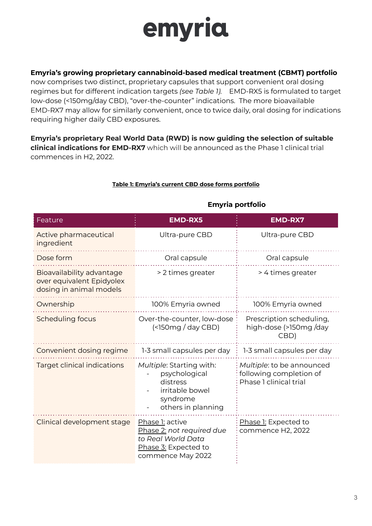#### **Emyria's growing proprietary cannabinoid-based medical treatment (CBMT) portfolio**

now comprises two distinct, proprietary capsules that support convenient oral dosing regimes but for different indication targets *(see Table 1).* EMD-RX5 is formulated to target low-dose (<150mg/day CBD), "over-the-counter" indications. The more bioavailable EMD-RX7 may allow for similarly convenient, once to twice daily, oral dosing for indications requiring higher daily CBD exposures.

**Emyria's proprietary Real World Data (RWD) is now guiding the selection of suitable clinical indications for EMD-RX7** which will be announced as the Phase 1 clinical trial commences in H2, 2022.

| Feature                                                                           | <b>EMD-RX5</b>                                                                                                  | <b>EMD-RX7</b>                                                                 |
|-----------------------------------------------------------------------------------|-----------------------------------------------------------------------------------------------------------------|--------------------------------------------------------------------------------|
| Active pharmaceutical<br>ingredient                                               | Ultra-pure CBD                                                                                                  | Ultra-pure CBD                                                                 |
| Dose form                                                                         | Oral capsule                                                                                                    | Oral capsule                                                                   |
| Bioavailability advantage<br>over equivalent Epidyolex<br>dosing in animal models | > 2 times greater                                                                                               | > 4 times greater                                                              |
| Ownership                                                                         | 100% Emyria owned                                                                                               | 100% Emyria owned                                                              |
| Scheduling focus                                                                  | Over-the-counter, low-dose<br>(                                                                                 | Prescription scheduling,<br>high-dose (>150mg/day<br>CBD)                      |
| Convenient dosing regime                                                          | 1-3 small capsules per day                                                                                      | 1-3 small capsules per day                                                     |
| <b>Target clinical indications</b>                                                | Multiple: Starting with:<br>psychological<br>distress<br>irritable bowel<br>syndrome<br>others in planning      | Multiple: to be announced<br>following completion of<br>Phase 1 clinical trial |
| Clinical development stage                                                        | Phase 1: active<br>Phase 2: not required due<br>to Real World Data<br>Phase 3: Expected to<br>commence May 2022 | Phase 1: Expected to<br>commence H2, 2022                                      |

#### **Table 1: Emyria's current CBD dose forms portfolio**

#### **Emyria portfolio**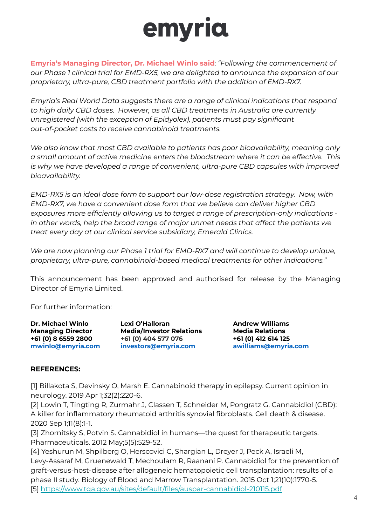**Emyria's Managing Director, Dr. Michael Winlo said**: *"Following the commencement of our Phase 1 clinical trial for EMD-RX5, we are delighted to announce the expansion of our proprietary, ultra-pure, CBD treatment portfolio with the addition of EMD-RX7.*

*Emyria's Real World Data suggests there are a range of clinical indications that respond to high daily CBD doses. However, as all CBD treatments in Australia are currently unregistered (with the exception of Epidyolex), patients must pay significant out-of-pocket costs to receive cannabinoid treatments.*

*We also know that most CBD available to patients has poor bioavailability, meaning only a small amount of active medicine enters the bloodstream where it can be effective. This is why we have developed a range of convenient, ultra-pure CBD capsules with improved bioavailability.*

*EMD-RX5 is an ideal dose form to support our low-dose registration strategy. Now, with EMD-RX7, we have a convenient dose form that we believe can deliver higher CBD exposures more efficiently allowing us to target a range of prescription-only indications in other words, help the broad range of major unmet needs that affect the patients we treat every day at our clinical service subsidiary, Emerald Clinics.*

*We are now planning our Phase 1 trial for EMD-RX7 and will continue to develop unique, proprietary, ultra-pure, cannabinoid-based medical treatments for other indications."*

This announcement has been approved and authorised for release by the Managing Director of Emyria Limited.

For further information:

**Dr. Michael Winlo Lexi O'Halloran Andrew Williams**

**Managing Director Media/Investor Relations Media Relations +61 (0) 8 6559 2800 +61 (0) 404 577 076 +61 (0) 412 614 125 [mwinlo@emyria.com](mailto:mwinlo@emyria.com) [investors@emyria.com](mailto:investors@emyria.com) [awilliams@emyria.com](mailto:awilliams@emyria.com)**

#### **REFERENCES:**

[1] Billakota S, Devinsky O, Marsh E. Cannabinoid therapy in epilepsy. Current opinion in neurology. 2019 Apr 1;32(2):220-6.

[2] Lowin T, Tingting R, Zurmahr J, Classen T, Schneider M, Pongratz G. Cannabidiol (CBD): A killer for inflammatory rheumatoid arthritis synovial fibroblasts. Cell death & disease. 2020 Sep 1;11(8):1-1.

[3] Zhornitsky S, Potvin S. Cannabidiol in humans—the quest for therapeutic targets. Pharmaceuticals. 2012 May;5(5):529-52.

[4] Yeshurun M, Shpilberg O, Herscovici C, Shargian L, Dreyer J, Peck A, Israeli M, Levy-Assaraf M, Gruenewald T, Mechoulam R, Raanani P. Cannabidiol for the prevention of graft-versus-host-disease after allogeneic hematopoietic cell transplantation: results of a phase II study. Biology of Blood and Marrow Transplantation. 2015 Oct 1;21(10):1770-5. [5]<https://www.tga.gov.au/sites/default/files/auspar-cannabidiol-210115.pdf>